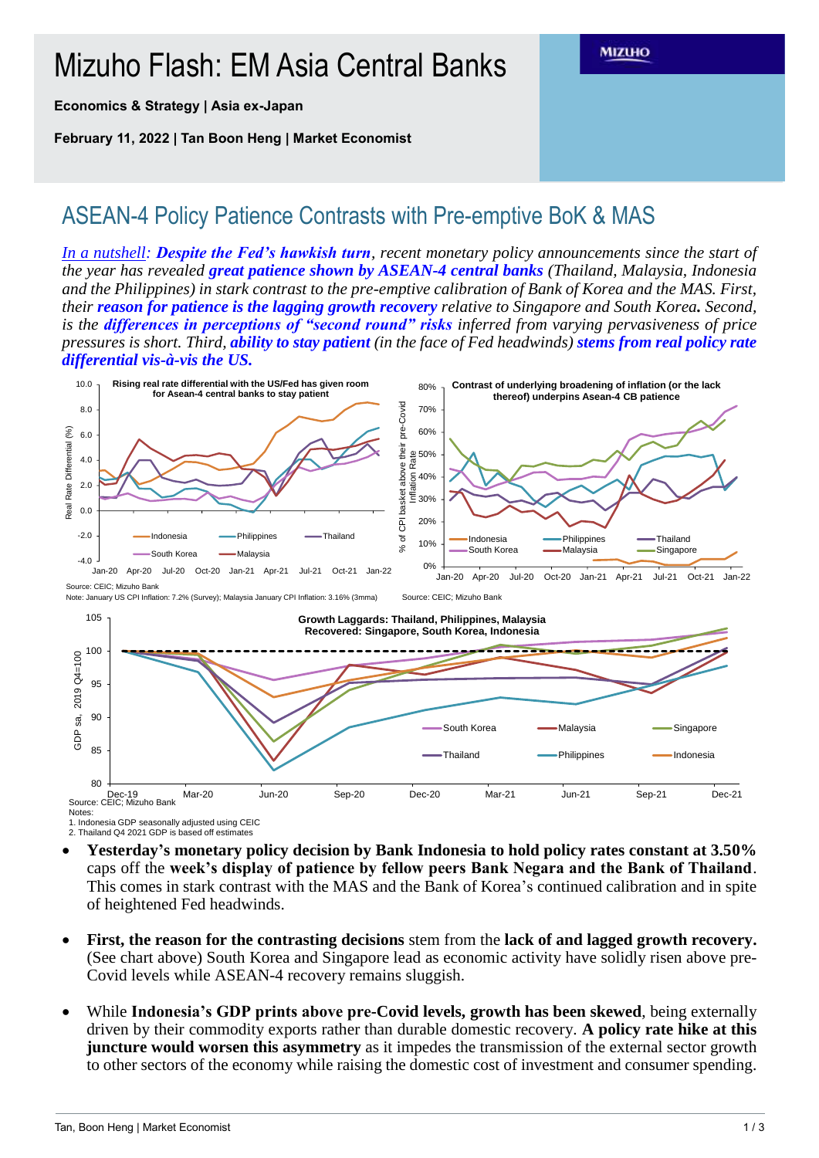## Mizuho Flash: EM Asia Central Banks

**Economics & Strategy | Asia ex-Japan**

**February 11, 2022 | Tan Boon Heng | Market Economist**

## ASEAN-4 Policy Patience Contrasts with Pre-emptive BoK & MAS

*In a nutshell: Despite the Fed's hawkish turn, recent monetary policy announcements since the start of the year has revealed great patience shown by ASEAN-4 central banks (Thailand, Malaysia, Indonesia and the Philippines) in stark contrast to the pre-emptive calibration of Bank of Korea and the MAS. First, their reason for patience is the lagging growth recovery relative to Singapore and South Korea. Second, is the differences in perceptions of "second round" risks inferred from varying pervasiveness of price pressures is short. Third, ability to stay patient (in the face of Fed headwinds) stems from real policy rate differential vis-à-vis the US.* 

**MIZUHO** 



Note: January US CPI Inflation: 7.2% (Survey); Malaysia January CPI Inflation: 3.16% (3mma)



1. Indonesia GDP seasonally adjusted using CEIC 2. Thailand Q4 2021 GDP is based off estimates

- **Yesterday's monetary policy decision by Bank Indonesia to hold policy rates constant at 3.50%**  caps off the **week's display of patience by fellow peers Bank Negara and the Bank of Thailand**. This comes in stark contrast with the MAS and the Bank of Korea's continued calibration and in spite of heightened Fed headwinds.
- **First, the reason for the contrasting decisions** stem from the **lack of and lagged growth recovery.** (See chart above) South Korea and Singapore lead as economic activity have solidly risen above pre-Covid levels while ASEAN-4 recovery remains sluggish.
- While **Indonesia's GDP prints above pre-Covid levels, growth has been skewed**, being externally driven by their commodity exports rather than durable domestic recovery. **A policy rate hike at this juncture would worsen this asymmetry** as it impedes the transmission of the external sector growth to other sectors of the economy while raising the domestic cost of investment and consumer spending.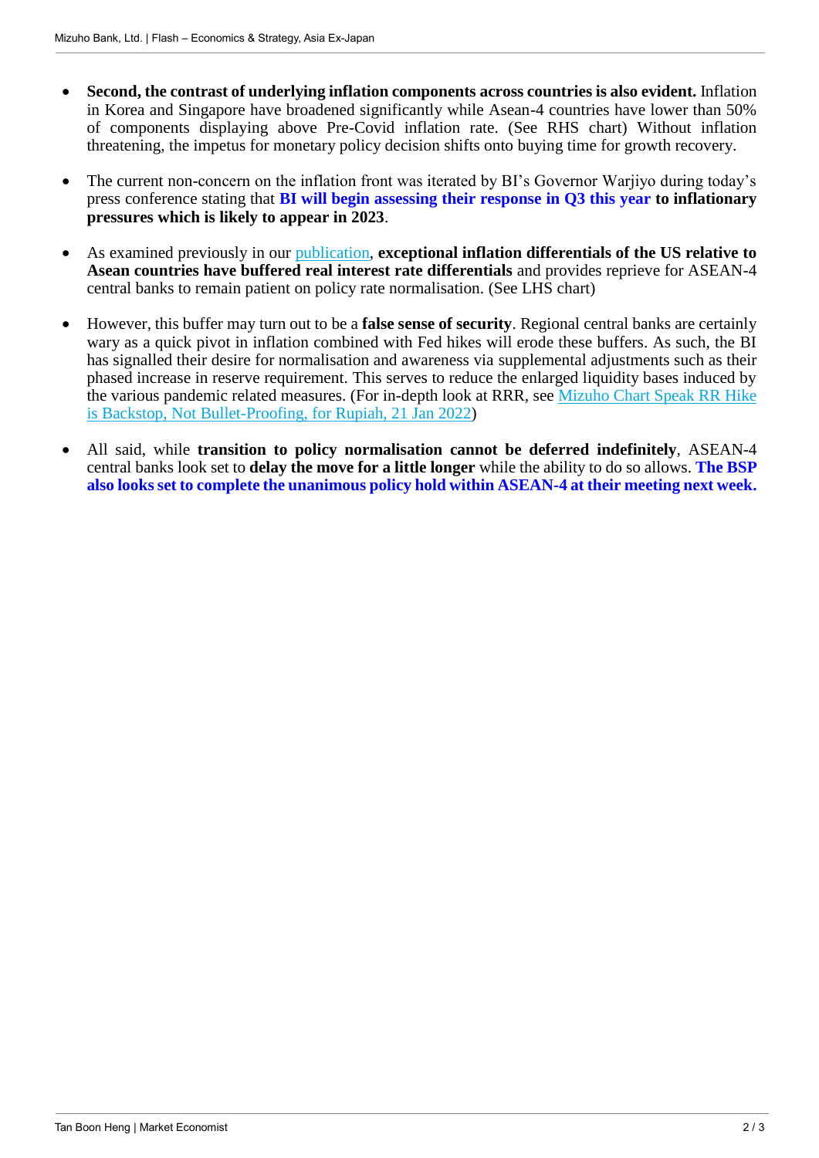- **Second, the contrast of underlying inflation components across countries is also evident.** Inflation in Korea and Singapore have broadened significantly while Asean-4 countries have lower than 50% of components displaying above Pre-Covid inflation rate. (See RHS chart) Without inflation threatening, the impetus for monetary policy decision shifts onto buying time for growth recovery.
- The current non-concern on the inflation front was iterated by BI's Governor Warijyo during today's press conference stating that **BI will begin assessing their response in Q3 this year to inflationary pressures which is likely to appear in 2023**.
- As examined previously in our [publication,](https://www.mizuhogroup.com/binaries/content/assets/pdf/singapore/macro/ad-hoc/chart/mizuho-cs_em-asia-cbs_220119.pdf) **exceptional inflation differentials of the US relative to Asean countries have buffered real interest rate differentials** and provides reprieve for ASEAN-4 central banks to remain patient on policy rate normalisation. (See LHS chart)
- However, this buffer may turn out to be a **false sense of security**. Regional central banks are certainly wary as a quick pivot in inflation combined with Fed hikes will erode these buffers. As such, the BI has signalled their desire for normalisation and awareness via supplemental adjustments such as their phased increase in reserve requirement. This serves to reduce the enlarged liquidity bases induced by the various pandemic related measures. (For in-depth look at RRR, see [Mizuho Chart Speak RR Hike](https://www.mizuhogroup.com/binaries/content/assets/pdf/singapore/macro/ad-hoc/chart/mizuho-cs_bi-rr-hike_220121.pdf)  [is Backstop, Not Bullet-Proofing, for Rupiah, 21 Jan 2022\)](https://www.mizuhogroup.com/binaries/content/assets/pdf/singapore/macro/ad-hoc/chart/mizuho-cs_bi-rr-hike_220121.pdf)
- All said, while **transition to policy normalisation cannot be deferred indefinitely**, ASEAN-4 central banks look set to **delay the move for a little longer** while the ability to do so allows. **The BSP also looks set to complete the unanimous policy hold within ASEAN-4 at their meeting next week.**